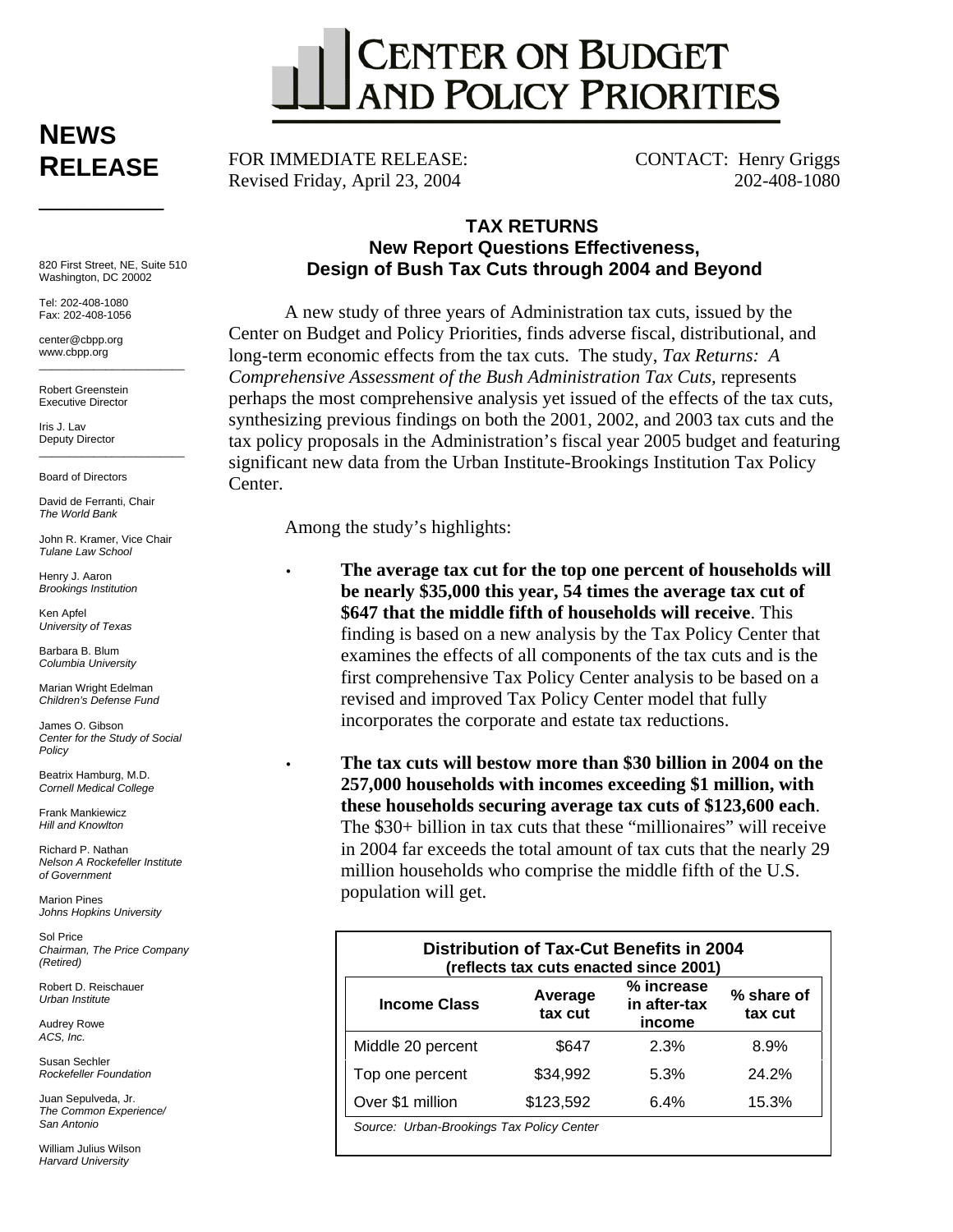

# **NEWS RELEASE**  \_\_\_\_\_\_\_\_\_

820 First Street, NE, Suite 510 Washington, DC 20002

Tel: 202-408-1080 Fax: 202-408-1056

center@cbpp.org www.cbpp.org  $\frac{1}{2}$  ,  $\frac{1}{2}$  ,  $\frac{1}{2}$  ,  $\frac{1}{2}$  ,  $\frac{1}{2}$  ,  $\frac{1}{2}$  ,  $\frac{1}{2}$  ,  $\frac{1}{2}$  ,  $\frac{1}{2}$  ,  $\frac{1}{2}$  ,  $\frac{1}{2}$  ,  $\frac{1}{2}$  ,  $\frac{1}{2}$  ,  $\frac{1}{2}$  ,  $\frac{1}{2}$  ,  $\frac{1}{2}$  ,  $\frac{1}{2}$  ,  $\frac{1}{2}$  ,  $\frac{1$ 

Robert Greenstein Executive Director

Iris J. Lav Deputy Director

Board of Directors

David de Ferranti, Chair *The World Bank* 

John R. Kramer, Vice Chair *Tulane Law School* 

 $\overline{\phantom{a}}$  , and the set of the set of the set of the set of the set of the set of the set of the set of the set of the set of the set of the set of the set of the set of the set of the set of the set of the set of the s

Henry J. Aaron *Brookings Institution* 

Ken Anfel *University of Texas* 

Barbara B. Blum *Columbia University* 

Marian Wright Edelman *Children's Defense Fund* 

James O. Gibson *Center for the Study of Social Policy* 

Beatrix Hamburg, M.D. *Cornell Medical College* 

Frank Mankiewicz *Hill and Knowlton* 

Richard P. Nathan *Nelson A Rockefeller Institute of Government* 

Marion Pines *Johns Hopkins University* 

Sol Price *Chairman, The Price Company (Retired)* 

Robert D. Reischauer *Urban Institute* 

Audrey Rowe *ACS, Inc.* 

Susan Sechler *Rockefeller Foundation* 

Juan Sepulveda, Jr. *The Common Experience/ San Antonio* 

William Julius Wilson *Harvard University* 

FOR IMMEDIATE RELEASE: Revised Friday, April 23, 2004

CONTACT: Henry Griggs 202-408-1080

## **TAX RETURNS New Report Questions Effectiveness, Design of Bush Tax Cuts through 2004 and Beyond**

A new study of three years of Administration tax cuts, issued by the Center on Budget and Policy Priorities, finds adverse fiscal, distributional, and long-term economic effects from the tax cuts. The study, *Tax Returns: A Comprehensive Assessment of the Bush Administration Tax Cuts,* represents perhaps the most comprehensive analysis yet issued of the effects of the tax cuts, synthesizing previous findings on both the 2001, 2002, and 2003 tax cuts and the tax policy proposals in the Administration's fiscal year 2005 budget and featuring significant new data from the Urban Institute-Brookings Institution Tax Policy Center.

Among the study's highlights:

• **The average tax cut for the top one percent of households will be nearly \$35,000 this year, 54 times the average tax cut of \$647 that the middle fifth of households will receive**. This finding is based on a new analysis by the Tax Policy Center that examines the effects of all components of the tax cuts and is the first comprehensive Tax Policy Center analysis to be based on a revised and improved Tax Policy Center model that fully incorporates the corporate and estate tax reductions.

• **The tax cuts will bestow more than \$30 billion in 2004 on the 257,000 households with incomes exceeding \$1 million, with these households securing average tax cuts of \$123,600 each**. The \$30+ billion in tax cuts that these "millionaires" will receive in 2004 far exceeds the total amount of tax cuts that the nearly 29 million households who comprise the middle fifth of the U.S. population will get.

| <b>Distribution of Tax-Cut Benefits in 2004</b><br>(reflects tax cuts enacted since 2001) |                    |                                      |                       |
|-------------------------------------------------------------------------------------------|--------------------|--------------------------------------|-----------------------|
| <b>Income Class</b>                                                                       | Average<br>tax cut | % increase<br>in after-tax<br>income | % share of<br>tax cut |
| Middle 20 percent                                                                         | \$647              | 2.3%                                 | 8.9%                  |
| Top one percent                                                                           | \$34,992           | 5.3%                                 | 24.2%                 |
| Over \$1 million                                                                          | \$123,592          | 6.4%                                 | 15.3%                 |
| Source: Urban-Brookings Tax Policy Center                                                 |                    |                                      |                       |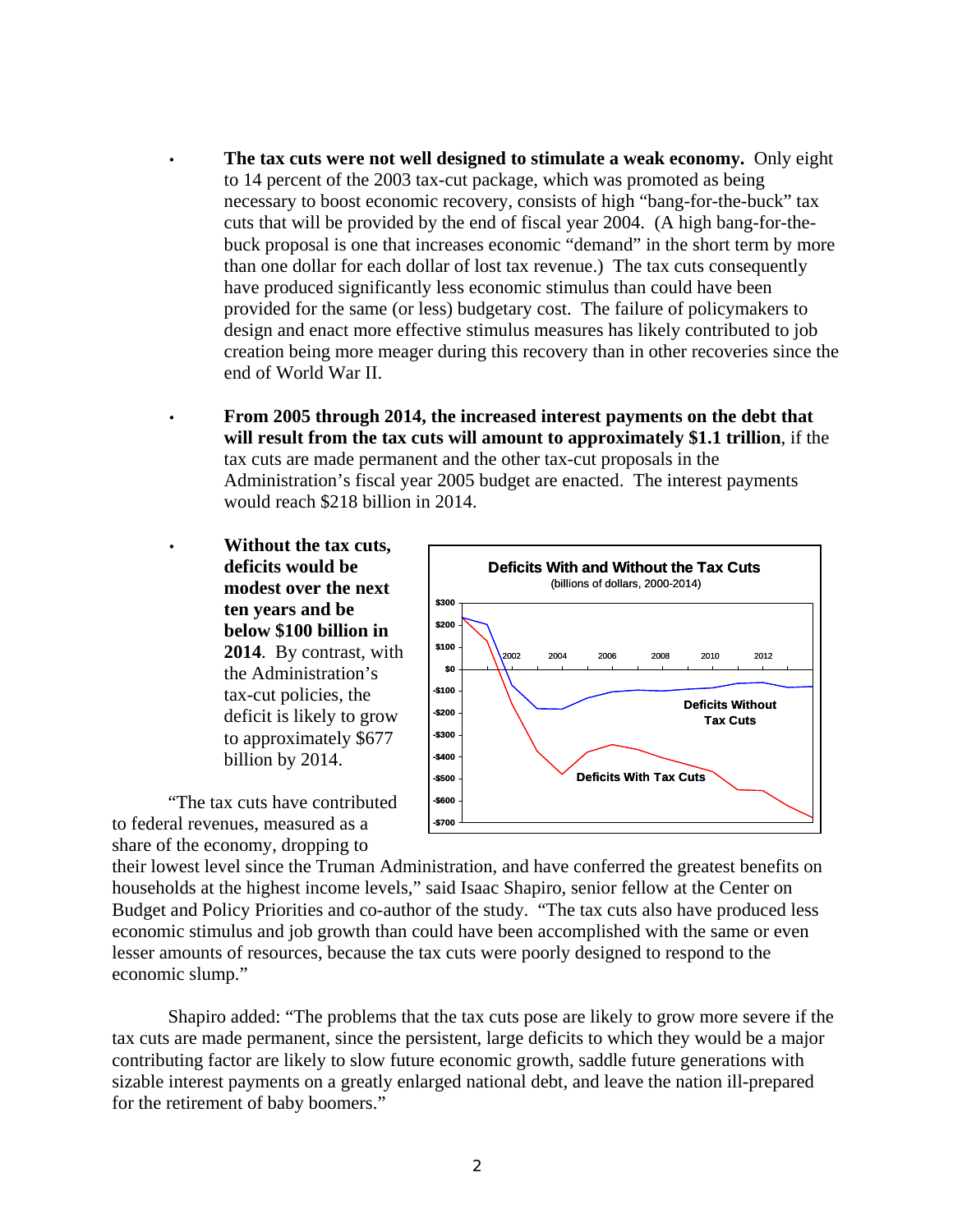- **The tax cuts were not well designed to stimulate a weak economy.** Only eight to 14 percent of the 2003 tax-cut package, which was promoted as being necessary to boost economic recovery, consists of high "bang-for-the-buck" tax cuts that will be provided by the end of fiscal year 2004. (A high bang-for-thebuck proposal is one that increases economic "demand" in the short term by more than one dollar for each dollar of lost tax revenue.) The tax cuts consequently have produced significantly less economic stimulus than could have been provided for the same (or less) budgetary cost. The failure of policymakers to design and enact more effective stimulus measures has likely contributed to job creation being more meager during this recovery than in other recoveries since the end of World War II.
- **From 2005 through 2014, the increased interest payments on the debt that will result from the tax cuts will amount to approximately \$1.1 trillion**, if the tax cuts are made permanent and the other tax-cut proposals in the Administration's fiscal year 2005 budget are enacted. The interest payments would reach \$218 billion in 2014.
- **Without the tax cuts, deficits would be modest over the next ten years and be below \$100 billion in 2014**. By contrast, with the Administration's tax-cut policies, the deficit is likely to grow to approximately \$677 billion by 2014.

"The tax cuts have contributed to federal revenues, measured as a share of the economy, dropping to



their lowest level since the Truman Administration, and have conferred the greatest benefits on households at the highest income levels," said Isaac Shapiro, senior fellow at the Center on Budget and Policy Priorities and co-author of the study. "The tax cuts also have produced less economic stimulus and job growth than could have been accomplished with the same or even lesser amounts of resources, because the tax cuts were poorly designed to respond to the economic slump."

Shapiro added: "The problems that the tax cuts pose are likely to grow more severe if the tax cuts are made permanent, since the persistent, large deficits to which they would be a major contributing factor are likely to slow future economic growth, saddle future generations with sizable interest payments on a greatly enlarged national debt, and leave the nation ill-prepared for the retirement of baby boomers."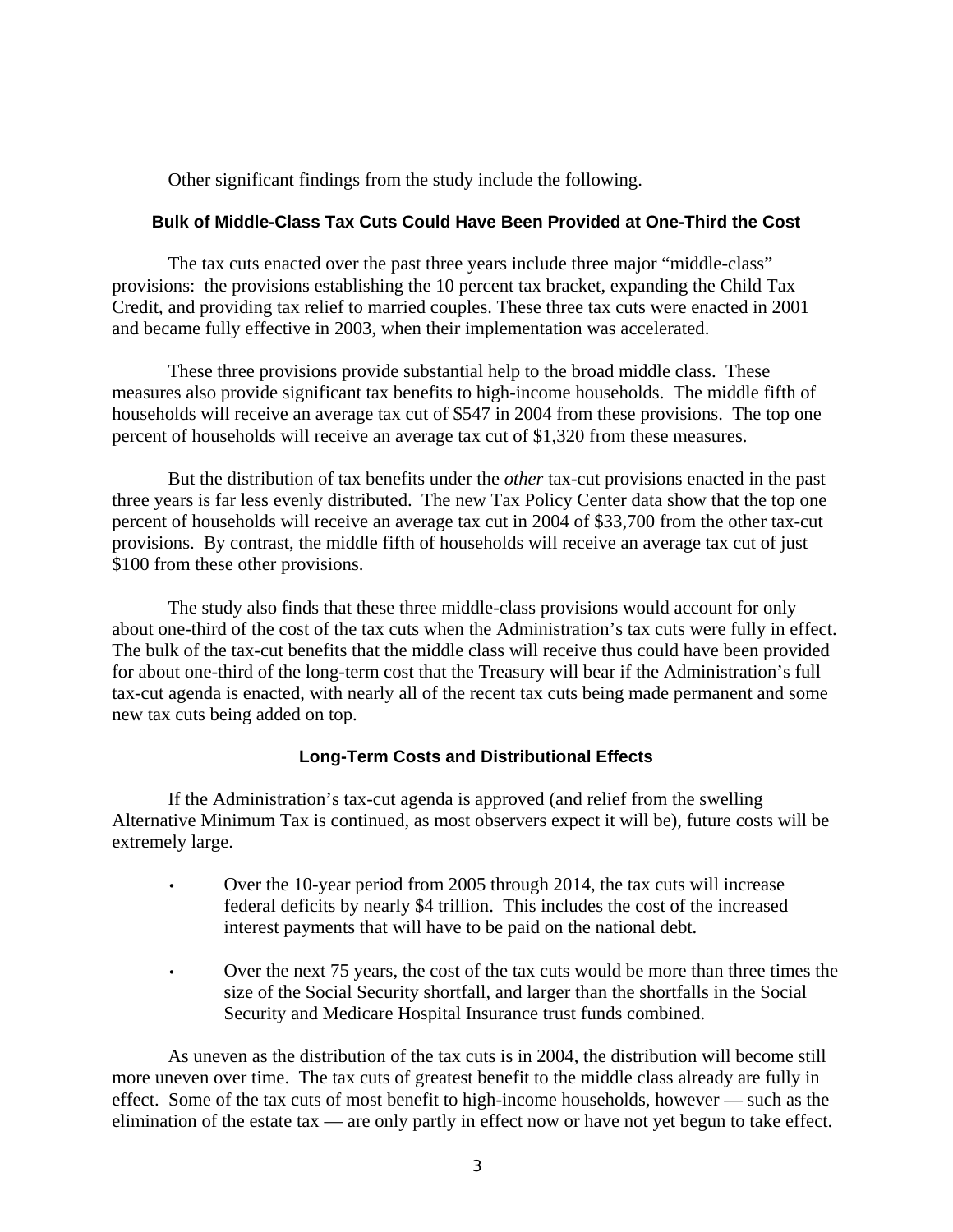Other significant findings from the study include the following.

#### **Bulk of Middle-Class Tax Cuts Could Have Been Provided at One-Third the Cost**

The tax cuts enacted over the past three years include three major "middle-class" provisions: the provisions establishing the 10 percent tax bracket, expanding the Child Tax Credit, and providing tax relief to married couples. These three tax cuts were enacted in 2001 and became fully effective in 2003, when their implementation was accelerated.

These three provisions provide substantial help to the broad middle class. These measures also provide significant tax benefits to high-income households. The middle fifth of households will receive an average tax cut of \$547 in 2004 from these provisions. The top one percent of households will receive an average tax cut of \$1,320 from these measures.

But the distribution of tax benefits under the *other* tax-cut provisions enacted in the past three years is far less evenly distributed. The new Tax Policy Center data show that the top one percent of households will receive an average tax cut in 2004 of \$33,700 from the other tax-cut provisions. By contrast, the middle fifth of households will receive an average tax cut of just \$100 from these other provisions.

The study also finds that these three middle-class provisions would account for only about one-third of the cost of the tax cuts when the Administration's tax cuts were fully in effect. The bulk of the tax-cut benefits that the middle class will receive thus could have been provided for about one-third of the long-term cost that the Treasury will bear if the Administration's full tax-cut agenda is enacted, with nearly all of the recent tax cuts being made permanent and some new tax cuts being added on top.

#### **Long-Term Costs and Distributional Effects**

If the Administration's tax-cut agenda is approved (and relief from the swelling Alternative Minimum Tax is continued, as most observers expect it will be), future costs will be extremely large.

- Over the 10-year period from 2005 through 2014, the tax cuts will increase federal deficits by nearly \$4 trillion. This includes the cost of the increased interest payments that will have to be paid on the national debt.
- Over the next 75 years, the cost of the tax cuts would be more than three times the size of the Social Security shortfall, and larger than the shortfalls in the Social Security and Medicare Hospital Insurance trust funds combined.

As uneven as the distribution of the tax cuts is in 2004, the distribution will become still more uneven over time. The tax cuts of greatest benefit to the middle class already are fully in effect. Some of the tax cuts of most benefit to high-income households, however — such as the elimination of the estate tax — are only partly in effect now or have not yet begun to take effect.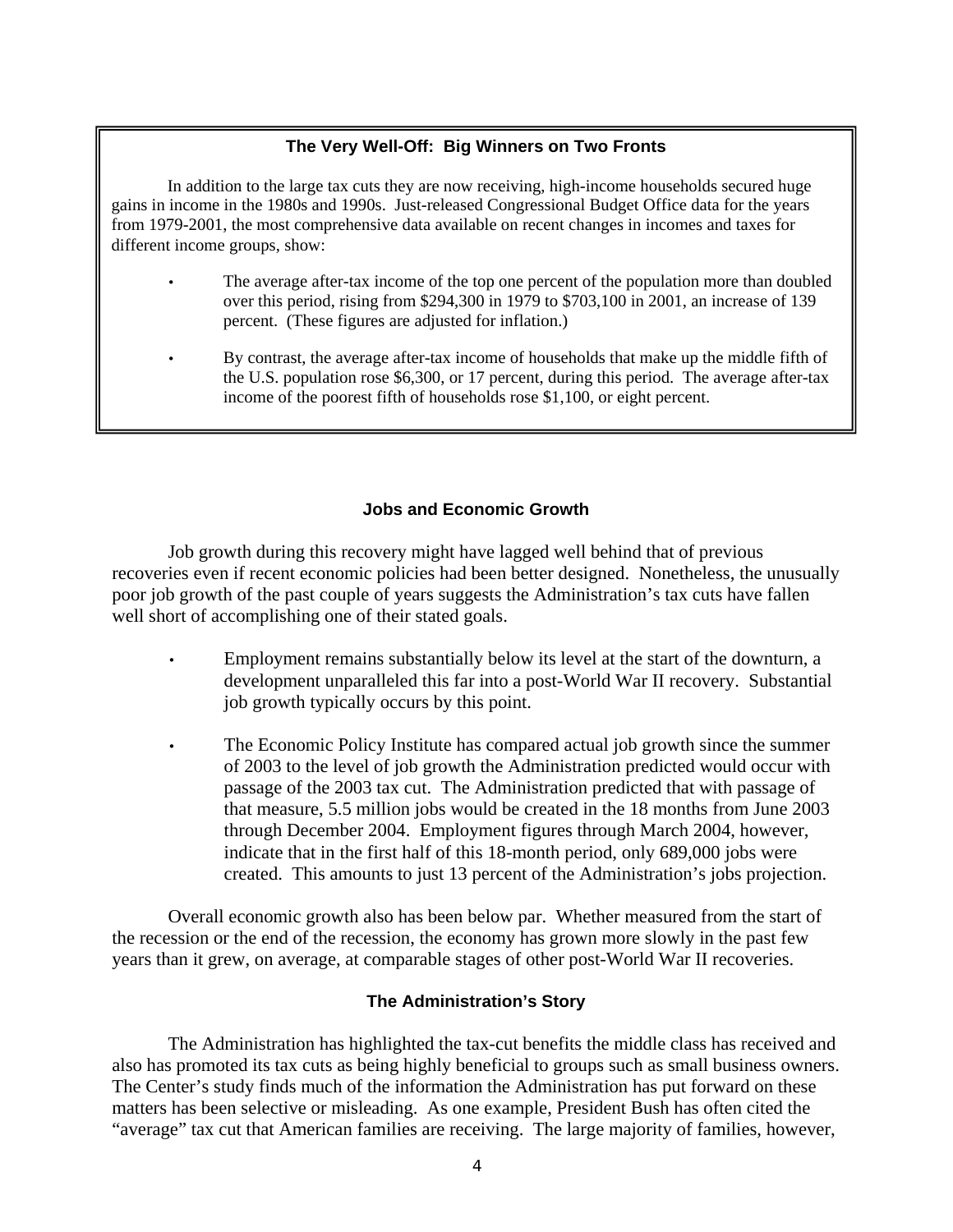## **The Very Well-Off: Big Winners on Two Fronts**

In addition to the large tax cuts they are now receiving, high-income households secured huge gains in income in the 1980s and 1990s. Just-released Congressional Budget Office data for the years from 1979-2001, the most comprehensive data available on recent changes in incomes and taxes for different income groups, show:

- The average after-tax income of the top one percent of the population more than doubled over this period, rising from \$294,300 in 1979 to \$703,100 in 2001, an increase of 139 percent. (These figures are adjusted for inflation.)
- By contrast, the average after-tax income of households that make up the middle fifth of the U.S. population rose \$6,300, or 17 percent, during this period. The average after-tax income of the poorest fifth of households rose \$1,100, or eight percent.

### **Jobs and Economic Growth**

Job growth during this recovery might have lagged well behind that of previous recoveries even if recent economic policies had been better designed. Nonetheless, the unusually poor job growth of the past couple of years suggests the Administration's tax cuts have fallen well short of accomplishing one of their stated goals.

- Employment remains substantially below its level at the start of the downturn, a development unparalleled this far into a post-World War II recovery. Substantial job growth typically occurs by this point.
- The Economic Policy Institute has compared actual job growth since the summer of 2003 to the level of job growth the Administration predicted would occur with passage of the 2003 tax cut. The Administration predicted that with passage of that measure, 5.5 million jobs would be created in the 18 months from June 2003 through December 2004. Employment figures through March 2004, however, indicate that in the first half of this 18-month period, only 689,000 jobs were created. This amounts to just 13 percent of the Administration's jobs projection.

Overall economic growth also has been below par. Whether measured from the start of the recession or the end of the recession, the economy has grown more slowly in the past few years than it grew, on average, at comparable stages of other post-World War II recoveries.

#### **The Administration's Story**

The Administration has highlighted the tax-cut benefits the middle class has received and also has promoted its tax cuts as being highly beneficial to groups such as small business owners. The Center's study finds much of the information the Administration has put forward on these matters has been selective or misleading. As one example, President Bush has often cited the "average" tax cut that American families are receiving. The large majority of families, however,